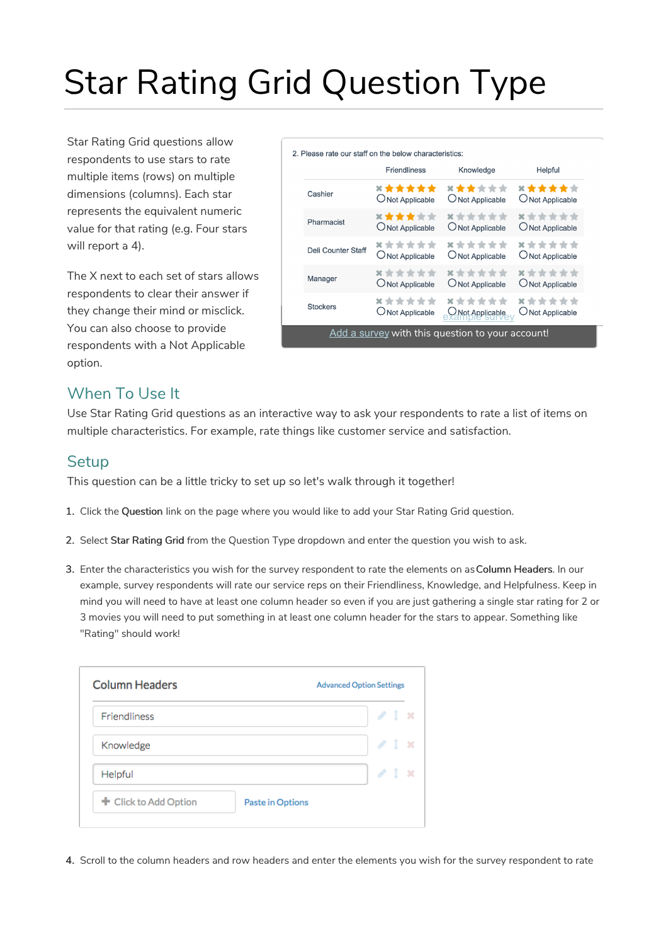# Star Rating Grid Question Type

Star Rating Grid questions allow respondents to use stars to rate multiple items (rows) on multiple dimensions (columns). Each star represents the equivalent numeric value for that rating (e.g. Four stars will report a 4).

The X next to each set of stars allows respondents to clear their answer if they change their mind or misclick. You can also choose to provide respondents with a Not Applicable option.

|                           | <b>Friendliness</b> | Knowledge                          | Helpful          |
|---------------------------|---------------------|------------------------------------|------------------|
| Cashier                   | ******              | ******                             | ******           |
|                           | O Not Applicable    | O Not Applicable                   | O Not Applicable |
| Pharmacist                | ******              | ******                             | ******           |
|                           | O Not Applicable    | O Not Applicable                   | O Not Applicable |
| <b>Deli Counter Staff</b> | ******              | ******                             | ******           |
|                           | ONot Applicable     | ONot Applicable                    | O Not Applicable |
| Manager                   | ******              | ******                             | ******           |
|                           | O Not Applicable    | O Not Applicable                   | O Not Applicable |
| <b>Stockers</b>           | ******              | ******                             | ******           |
|                           | ONot Applicable     | O Not Applicable<br>Example survey | O Not Applicable |

### When To Use It

Use Star Rating Grid questions as an interactive way to ask your respondents to rate a list of items on multiple characteristics. For example, rate things like customer service and satisfaction.

#### **Setup**

This question can be a little tricky to set up so let's walk through it together!

- 1. Click the Question link on the page where you would like to add your Star Rating Grid question.
- 2. Select Star Rating Grid from the Question Type dropdown and enter the question you wish to ask.
- 3. Enter the characteristics you wish for the survey respondent to rate the elements on asColumn Headers. In our example, survey respondents will rate our service reps on their Friendliness, Knowledge, and Helpfulness. Keep in mind you will need to have at least one column header so even if you are just gathering a single star rating for 2 or 3 movies you will need to put something in at least one column header for the stars to appear. Something like "Rating" should work!

| <b>Advanced Option Settings</b> |                  |
|---------------------------------|------------------|
| $\sqrt{1}$ x                    |                  |
| 21x                             |                  |
| 2.1                             | - 54             |
|                                 |                  |
|                                 | Paste in Options |

4. Scroll to the column headers and row headers and enter the elements you wish for the survey respondent to rate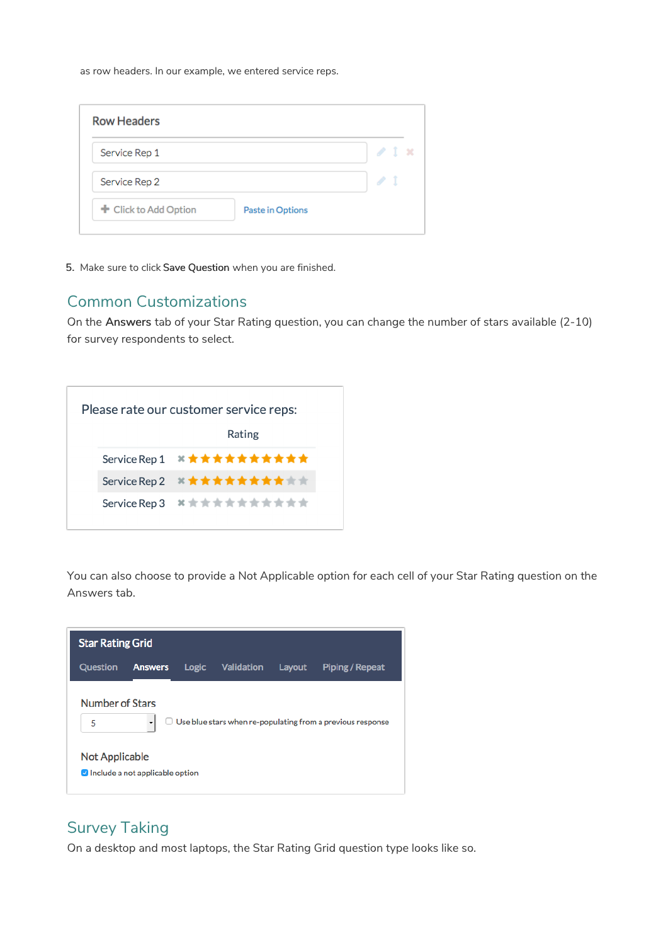as row headers. In our example, we entered service reps.

| <b>Row Headers</b>    |                  |              |
|-----------------------|------------------|--------------|
| Service Rep 1         |                  | $\angle$ 1 x |
| Service Rep 2         |                  |              |
| + Click to Add Option | Paste in Options |              |

5. Make sure to click Save Question when you are finished.

#### Common Customizations

On the Answers tab of your Star Rating question, you can change the number of stars available (2-10) for survey respondents to select.



You can also choose to provide a Not Applicable option for each cell of your Star Rating question on the Answers tab.



## Survey Taking

On a desktop and most laptops, the Star Rating Grid question type looks like so.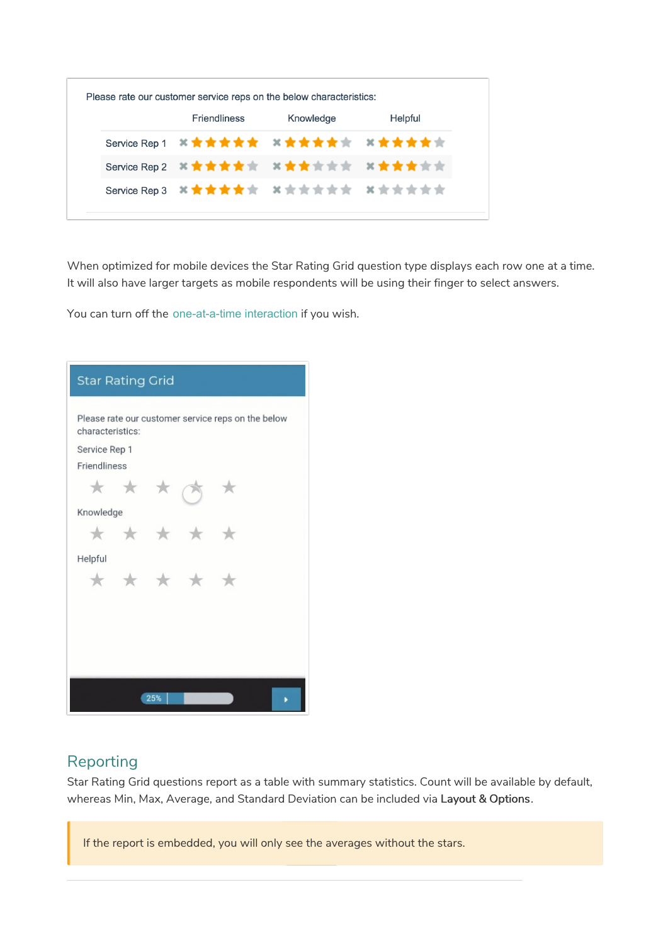| Friendliness | Knowledge                             | Helpful |
|--------------|---------------------------------------|---------|
|              | Service Rep 1 ※ 女女女女女 ※ 女女女女女 ※ 女女女女女 |         |
|              |                                       |         |
|              | Service Rep 3 其實責責責責 其責責責責責 其責責責責責    |         |

When optimized for mobile devices the Star Rating Grid question type displays each row one at a time. It will also have larger targets as mobile respondents will be using their finger to select answers.

You can turn off the one-at-a-time interaction if you wish.

| <b>Star Rating Grid</b> |     |               |                                                    |  |
|-------------------------|-----|---------------|----------------------------------------------------|--|
| characteristics:        |     |               | Please rate our customer service reps on the below |  |
| Service Rep 1           |     |               |                                                    |  |
| Friendliness            |     |               |                                                    |  |
|                         | * * |               |                                                    |  |
| Knowledge               |     |               |                                                    |  |
|                         |     | $\rightarrow$ |                                                    |  |
| Helpful                 |     |               |                                                    |  |
|                         |     | $\rightarrow$ |                                                    |  |
|                         |     |               |                                                    |  |
|                         |     |               |                                                    |  |
|                         |     |               |                                                    |  |
|                         |     |               |                                                    |  |
|                         |     | 25%           |                                                    |  |

## Reporting

Star Rating Grid questions report as a table with summary statistics. Count will be available by default, whereas Min, Max, Average, and Standard Deviation can be included via Layout & Options.

If the report is embedded, you will only see the averages without the stars.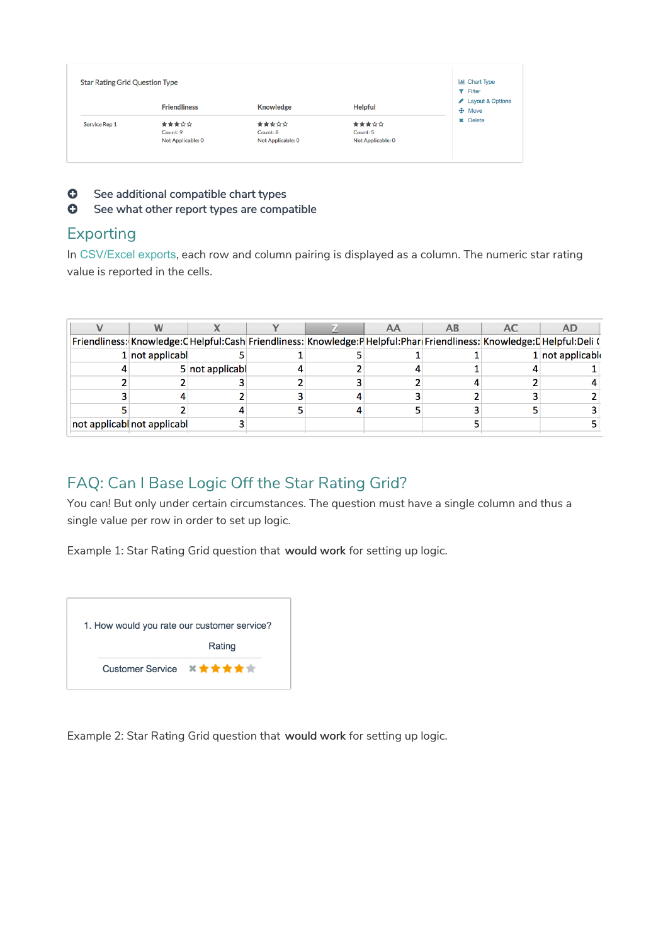| <b>Star Rating Grid Question Type</b> |                     |                   |                   | <b>III</b> Chart Type<br><b>T</b> Filter |
|---------------------------------------|---------------------|-------------------|-------------------|------------------------------------------|
|                                       | <b>Friendliness</b> | <b>Knowledge</b>  | <b>Helpful</b>    | Layout & Options<br>$\bigoplus$ Move     |
| Service Rep 1                         | 含含含含合               | 含食食食食             | 含含含含金             | <b>x</b> Delete                          |
|                                       | Count: 9            | Count: 8          | Count: 5          |                                          |
|                                       | Not Applicable: 0   | Not Applicable: 0 | Not Applicable: 0 |                                          |

- **O** See additional compatible chart types
- **G** See what other report types are compatible

#### Exporting

In CSV/Excel exports, each row and column pairing is displayed as a column. The numeric star rating value is reported in the cells.

|                             |                 |  | AA | AB. | AC | AD                                                                                                                 |
|-----------------------------|-----------------|--|----|-----|----|--------------------------------------------------------------------------------------------------------------------|
|                             |                 |  |    |     |    | Friendliness: Knowledge:CHelpful:Cash Friendliness: Knowledge:PHelpful:Phar(Friendliness: Knowledge:CHelpful:Deli( |
| $1$ not applicabl           |                 |  |    |     |    | $1$ not applicable                                                                                                 |
|                             | 5 not applicabl |  |    |     |    |                                                                                                                    |
|                             |                 |  |    |     |    |                                                                                                                    |
|                             |                 |  |    |     |    |                                                                                                                    |
|                             |                 |  |    |     |    |                                                                                                                    |
| not applicabl not applicabl |                 |  |    |     |    |                                                                                                                    |

# FAQ: Can I Base Logic Off the Star Rating Grid?

You can! But only under certain circumstances. The question must have a single column and thus a single value per row in order to set up logic.

Example 1: Star Rating Grid question that would work for setting up logic.



Example 2: Star Rating Grid question that would work for setting up logic.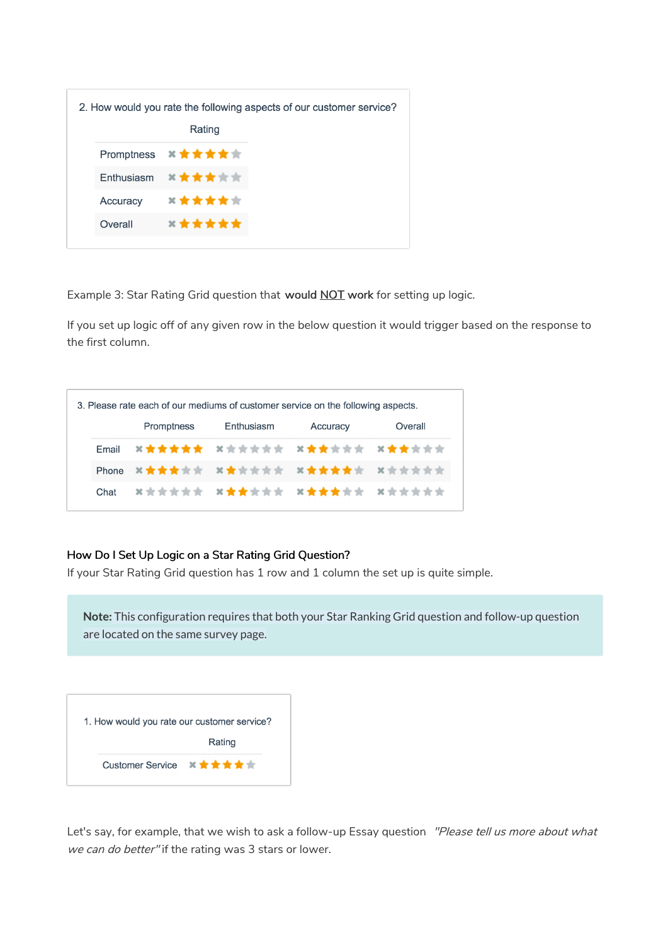|          |                                                           | 2. How would you rate the following aspects of our customer service? |
|----------|-----------------------------------------------------------|----------------------------------------------------------------------|
|          | Rating                                                    |                                                                      |
|          | Promptness <sup>*</sup> ★★★★★                             |                                                                      |
|          | Enthusiasm $\mathbf{X} \star \mathbf{X} \star \mathbf{X}$ |                                                                      |
| Accuracy | <b>×★★★★</b> ★                                            |                                                                      |
| Overall  | ******                                                    |                                                                      |

Example 3: Star Rating Grid question that would **NOT** work for setting up logic.

If you set up logic off of any given row in the below question it would trigger based on the response to the first column.

|      |            | 3. Please rate each of our mediums of customer service on the following aspects. |          |         |
|------|------------|----------------------------------------------------------------------------------|----------|---------|
|      | Promptness | Enthusiasm                                                                       | Accuracy | Overall |
|      |            | Email ×★★★★★ ×☆☆☆☆☆ ×★★☆☆☆ ×★★☆☆☆                                                |          |         |
|      |            | Phone ×★★★☆☆ ×★☆☆☆☆ ×★★★★★☆ ×☆☆☆☆☆                                               |          |         |
| Chat |            | 其实文文文文 其文文文文文 其文文文文文 其文文文文文                                                      |          |         |

#### How Do I Set Up Logic on a Star Rating Grid Question?

If your Star Rating Grid question has 1 row and 1 column the set up is quite simple.

**Note:** This configuration requires that both your Star Ranking Grid question and follow-up question are located on the same survey page.

| 1. How would you rate our customer service? |        |
|---------------------------------------------|--------|
|                                             | Rating |
| Customer Service ※★★★★★                     |        |

Let's say, for example, that we wish to ask a follow-up Essay question "Please tell us more about what we can do better" if the rating was 3 stars or lower.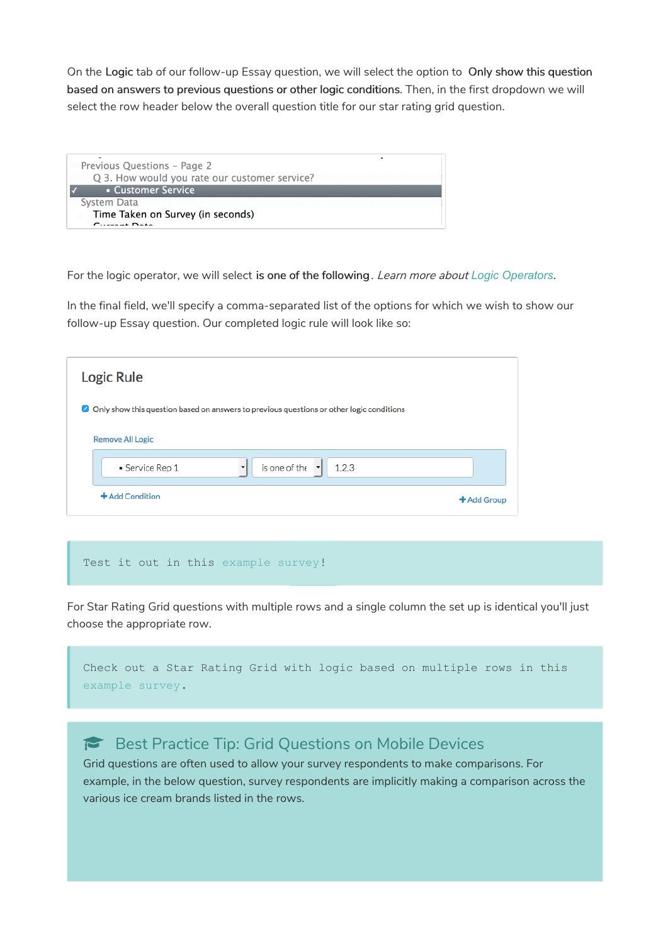On the Logic tab of our follow-up Essay question, we will select the option to Only show this question based on answers to previous questions or other logic conditions. Then, in the first dropdown we will select the row header below the overall question title for our star rating grid question.

| Previous Questions - Page 2<br>Q 3. How would you rate our customer service? |
|------------------------------------------------------------------------------|
| • Customer Service                                                           |
| System Data                                                                  |
| Time Taken on Survey (in seconds)<br>$C$ unant Data                          |

For the logic operator, we will select is one of the following. Learn more about *Logic Operators*.

In the final field, we'll specify a comma-separated list of the options for which we wish to show our follow-up Essay question. Our completed logic rule will look like so:

| Logic Rule                                                                                      |                      |
|-------------------------------------------------------------------------------------------------|----------------------|
| $\Box$ Only show this question based on answers to previous questions or other logic conditions |                      |
| <b>Remove All Logic</b>                                                                         |                      |
| is one of the<br>1,2,3<br>• Service Rep 1<br>$\cdot$<br>$\cdot$                                 |                      |
| +Add Condition                                                                                  | $\bigstar$ Add Group |

#### Test it out in this example survey!

For Star Rating Grid questions with multiple rows and a single column the set up is identical you'll just choose the appropriate row.

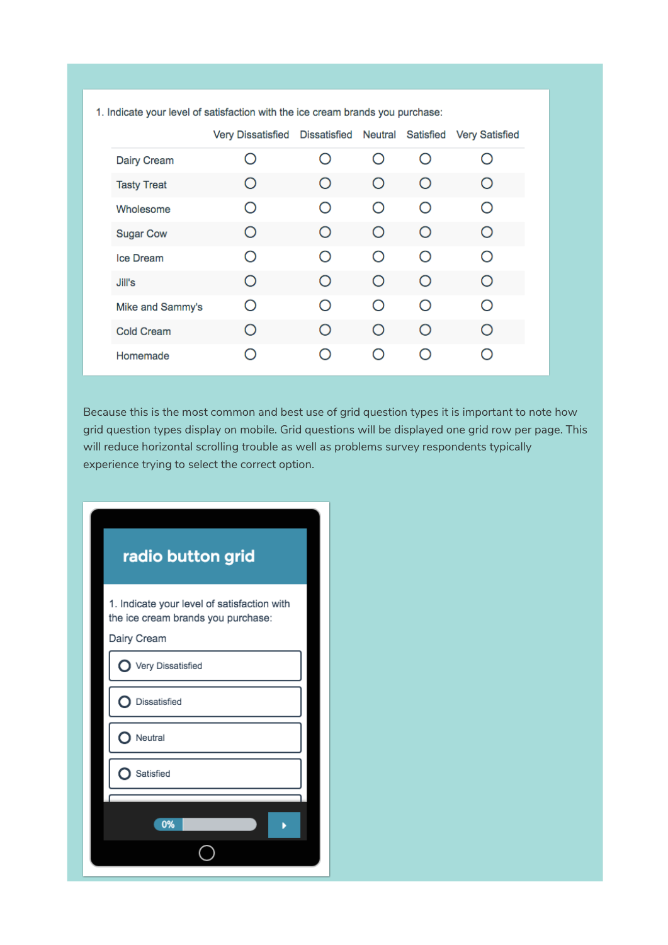|                    | <b>Very Dissatisfied</b> | <b>Dissatisfied</b> | Neutral          | Satisfied  | <b>Very Satisfied</b> |
|--------------------|--------------------------|---------------------|------------------|------------|-----------------------|
| <b>Dairy Cream</b> | $\mathcal{C}$            | $\bigcirc$          | $\left( \right)$ | $\bigcirc$ |                       |
| <b>Tasty Treat</b> | Ο                        | Ο                   | O                | O          |                       |
| Wholesome          | ∩                        | ∩                   | O                | ∩          |                       |
| <b>Sugar Cow</b>   | O                        | $\bigcirc$          | $\bigcirc$       | O          | Ω                     |
| Ice Dream          | $\bigcirc$               | $\bigcirc$          | $\bigcirc$       | $\bigcirc$ |                       |
| Jill's             | O                        | ∩                   | O                | ∩          | ( )                   |
| Mike and Sammy's   | ∩                        | ∩                   | ∩                | ∩          |                       |
| <b>Cold Cream</b>  | ∩                        | ∩                   | $\circ$          | ◯          |                       |
| Homemade           | Ω                        | Ω                   | ( )              | ( )        |                       |

1. Indicate your level of satisfaction with the ice cream brands you purchase:

Because this is the most common and best use of grid question types it is important to note how grid question types display on mobile. Grid questions will be displayed one grid row per page. This will reduce horizontal scrolling trouble as well as problems survey respondents typically experience trying to select the correct option.

| radio button grid                                                                 |  |  |  |
|-----------------------------------------------------------------------------------|--|--|--|
| 1. Indicate your level of satisfaction with<br>the ice cream brands you purchase: |  |  |  |
| Dairy Cream                                                                       |  |  |  |
| Very Dissatisfied                                                                 |  |  |  |
| Dissatisfied                                                                      |  |  |  |
| Neutral                                                                           |  |  |  |
| Satisfied                                                                         |  |  |  |
|                                                                                   |  |  |  |
| 0%                                                                                |  |  |  |
|                                                                                   |  |  |  |